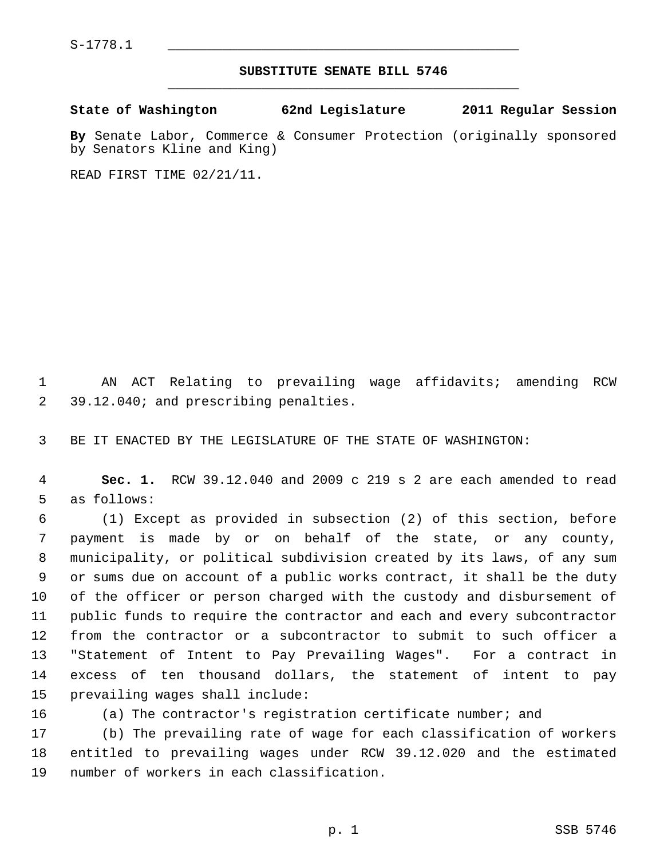## **SUBSTITUTE SENATE BILL 5746** \_\_\_\_\_\_\_\_\_\_\_\_\_\_\_\_\_\_\_\_\_\_\_\_\_\_\_\_\_\_\_\_\_\_\_\_\_\_\_\_\_\_\_\_\_

**State of Washington 62nd Legislature 2011 Regular Session**

**By** Senate Labor, Commerce & Consumer Protection (originally sponsored by Senators Kline and King)

READ FIRST TIME 02/21/11.

 1 AN ACT Relating to prevailing wage affidavits; amending RCW 2 39.12.040; and prescribing penalties.

3 BE IT ENACTED BY THE LEGISLATURE OF THE STATE OF WASHINGTON:

 4 **Sec. 1.** RCW 39.12.040 and 2009 c 219 s 2 are each amended to read 5 as follows:

 6 (1) Except as provided in subsection (2) of this section, before 7 payment is made by or on behalf of the state, or any county, 8 municipality, or political subdivision created by its laws, of any sum 9 or sums due on account of a public works contract, it shall be the duty 10 of the officer or person charged with the custody and disbursement of 11 public funds to require the contractor and each and every subcontractor 12 from the contractor or a subcontractor to submit to such officer a 13 "Statement of Intent to Pay Prevailing Wages". For a contract in 14 excess of ten thousand dollars, the statement of intent to pay 15 prevailing wages shall include:

16 (a) The contractor's registration certificate number; and

17 (b) The prevailing rate of wage for each classification of workers 18 entitled to prevailing wages under RCW 39.12.020 and the estimated 19 number of workers in each classification.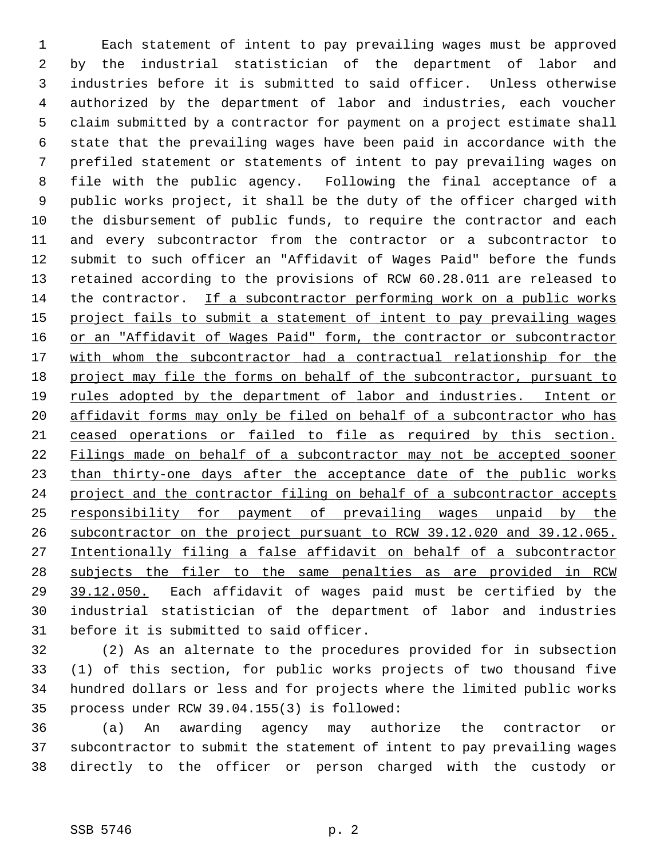1 Each statement of intent to pay prevailing wages must be approved 2 by the industrial statistician of the department of labor and 3 industries before it is submitted to said officer. Unless otherwise 4 authorized by the department of labor and industries, each voucher 5 claim submitted by a contractor for payment on a project estimate shall 6 state that the prevailing wages have been paid in accordance with the 7 prefiled statement or statements of intent to pay prevailing wages on 8 file with the public agency. Following the final acceptance of a 9 public works project, it shall be the duty of the officer charged with 10 the disbursement of public funds, to require the contractor and each 11 and every subcontractor from the contractor or a subcontractor to 12 submit to such officer an "Affidavit of Wages Paid" before the funds 13 retained according to the provisions of RCW 60.28.011 are released to 14 the contractor. If a subcontractor performing work on a public works 15 project fails to submit a statement of intent to pay prevailing wages 16 or an "Affidavit of Wages Paid" form, the contractor or subcontractor 17 with whom the subcontractor had a contractual relationship for the 18 project may file the forms on behalf of the subcontractor, pursuant to 19 rules adopted by the department of labor and industries. Intent or 20 affidavit forms may only be filed on behalf of a subcontractor who has 21 ceased operations or failed to file as required by this section. 22 Filings made on behalf of a subcontractor may not be accepted sooner 23 than thirty-one days after the acceptance date of the public works 24 project and the contractor filing on behalf of a subcontractor accepts 25 responsibility for payment of prevailing wages unpaid by the 26 subcontractor on the project pursuant to RCW 39.12.020 and 39.12.065. 27 Intentionally filing a false affidavit on behalf of a subcontractor 28 subjects the filer to the same penalties as are provided in RCW 29 39.12.050. Each affidavit of wages paid must be certified by the 30 industrial statistician of the department of labor and industries 31 before it is submitted to said officer.

32 (2) As an alternate to the procedures provided for in subsection 33 (1) of this section, for public works projects of two thousand five 34 hundred dollars or less and for projects where the limited public works 35 process under RCW 39.04.155(3) is followed:

36 (a) An awarding agency may authorize the contractor or 37 subcontractor to submit the statement of intent to pay prevailing wages 38 directly to the officer or person charged with the custody or